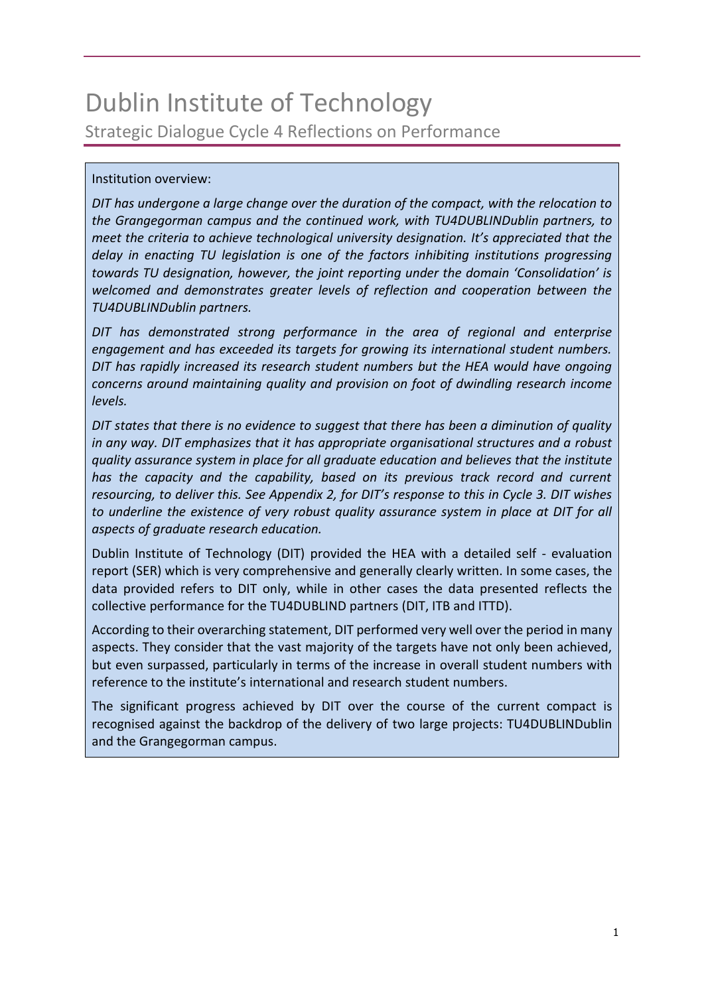# Dublin Institute of Technology Strategic Dialogue Cycle 4 Reflections on Performance

#### Institution overview:

*DIT has undergone a large change over the duration of the compact, with the relocation to the Grangegorman campus and the continued work, with TU4DUBLINDublin partners, to meet the criteria to achieve technological university designation. It's appreciated that the delay in enacting TU legislation is one of the factors inhibiting institutions progressing towards TU designation, however, the joint reporting under the domain 'Consolidation' is welcomed and demonstrates greater levels of reflection and cooperation between the TU4DUBLINDublin partners.*

*DIT has demonstrated strong performance in the area of regional and enterprise engagement and has exceeded its targets for growing its international student numbers. DIT has rapidly increased its research student numbers but the HEA would have ongoing concerns around maintaining quality and provision on foot of dwindling research income levels.*

*DIT states that there is no evidence to suggest that there has been a diminution of quality in any way. DIT emphasizes that it has appropriate organisational structures and a robust quality assurance system in place for all graduate education and believes that the institute has the capacity and the capability, based on its previous track record and current resourcing, to deliver this. See Appendix 2, for DIT's response to this in Cycle 3. DIT wishes*  to underline the existence of very robust quality assurance system in place at DIT for all *aspects of graduate research education.*

Dublin Institute of Technology (DIT) provided the HEA with a detailed self - evaluation report (SER) which is very comprehensive and generally clearly written. In some cases, the data provided refers to DIT only, while in other cases the data presented reflects the collective performance for the TU4DUBLIND partners (DIT, ITB and ITTD).

According to their overarching statement, DIT performed very well over the period in many aspects. They consider that the vast majority of the targets have not only been achieved, but even surpassed, particularly in terms of the increase in overall student numbers with reference to the institute's international and research student numbers.

The significant progress achieved by DIT over the course of the current compact is recognised against the backdrop of the delivery of two large projects: TU4DUBLINDublin and the Grangegorman campus.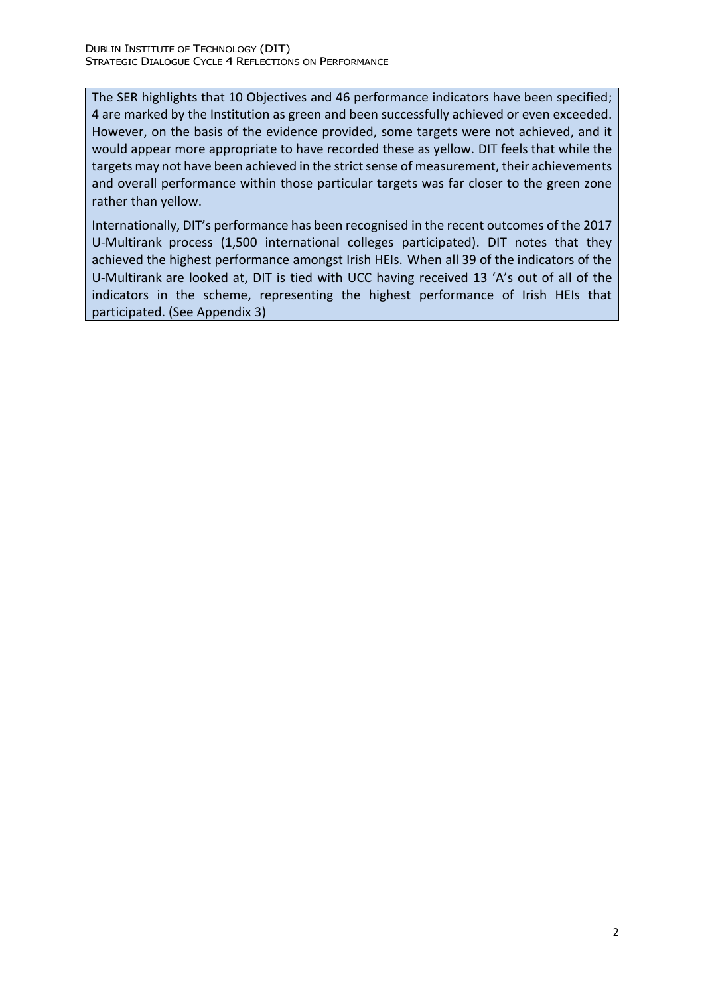The SER highlights that 10 Objectives and 46 performance indicators have been specified; 4 are marked by the Institution as green and been successfully achieved or even exceeded. However, on the basis of the evidence provided, some targets were not achieved, and it would appear more appropriate to have recorded these as yellow. DIT feels that while the targets may not have been achieved in the strict sense of measurement, their achievements and overall performance within those particular targets was far closer to the green zone rather than yellow.

Internationally, DIT's performance has been recognised in the recent outcomes of the 2017 U-Multirank process (1,500 international colleges participated). DIT notes that they achieved the highest performance amongst Irish HEIs. When all 39 of the indicators of the U-Multirank are looked at, DIT is tied with UCC having received 13 'A's out of all of the indicators in the scheme, representing the highest performance of Irish HEIs that participated. (See Appendix 3)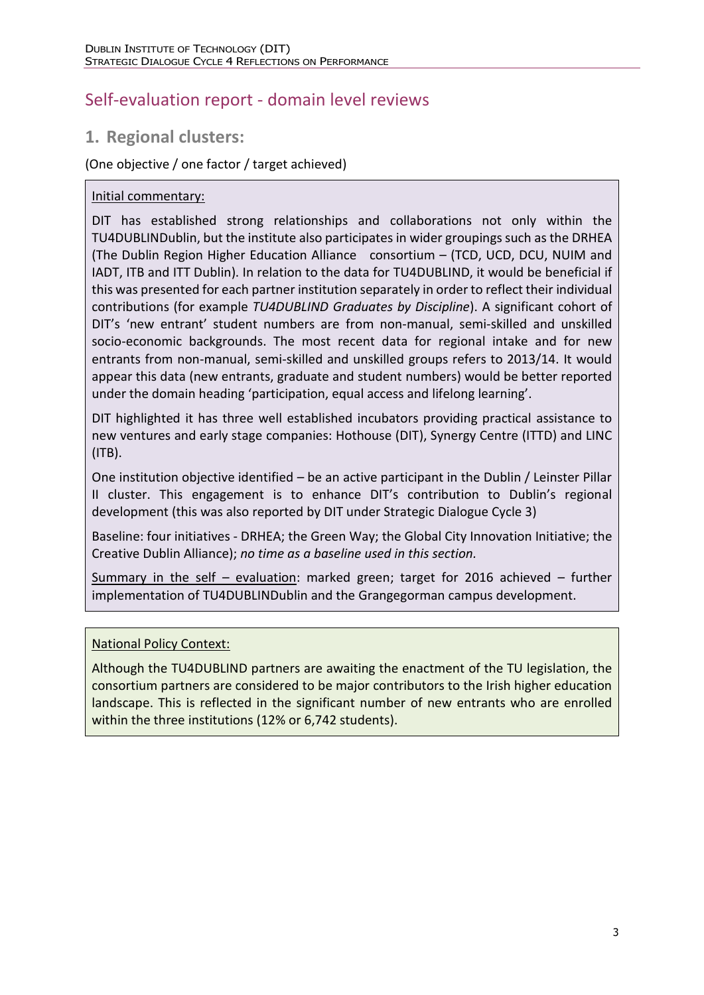# Self-evaluation report - domain level reviews

# **1. Regional clusters:**

### (One objective / one factor / target achieved)

#### Initial commentary:

DIT has established strong relationships and collaborations not only within the TU4DUBLINDublin, but the institute also participates in wider groupings such as the DRHEA (The Dublin Region Higher Education Alliance consortium – (TCD, UCD, DCU, NUIM and IADT, ITB and ITT Dublin). In relation to the data for TU4DUBLIND, it would be beneficial if this was presented for each partner institution separately in order to reflect their individual contributions (for example *TU4DUBLIND Graduates by Discipline*). A significant cohort of DIT's 'new entrant' student numbers are from non-manual, semi-skilled and unskilled socio-economic backgrounds. The most recent data for regional intake and for new entrants from non-manual, semi-skilled and unskilled groups refers to 2013/14. It would appear this data (new entrants, graduate and student numbers) would be better reported under the domain heading 'participation, equal access and lifelong learning'.

DIT highlighted it has three well established incubators providing practical assistance to new ventures and early stage companies: Hothouse (DIT), Synergy Centre (ITTD) and LINC (ITB).

One institution objective identified – be an active participant in the Dublin / Leinster Pillar II cluster. This engagement is to enhance DIT's contribution to Dublin's regional development (this was also reported by DIT under Strategic Dialogue Cycle 3)

Baseline: four initiatives - DRHEA; the Green Way; the Global City Innovation Initiative; the Creative Dublin Alliance); *no time as a baseline used in this section.*

Summary in the self – evaluation: marked green; target for 2016 achieved – further implementation of TU4DUBLINDublin and the Grangegorman campus development.

#### National Policy Context:

Although the TU4DUBLIND partners are awaiting the enactment of the TU legislation, the consortium partners are considered to be major contributors to the Irish higher education landscape. This is reflected in the significant number of new entrants who are enrolled within the three institutions (12% or 6,742 students).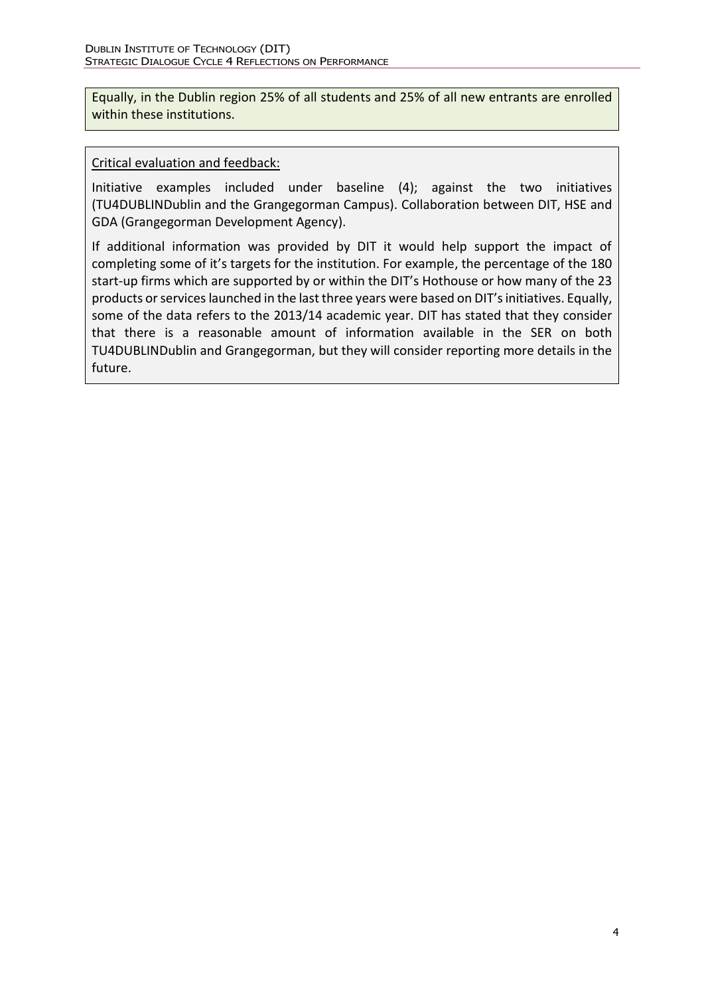Equally, in the Dublin region 25% of all students and 25% of all new entrants are enrolled within these institutions.

#### Critical evaluation and feedback:

Initiative examples included under baseline (4); against the two initiatives (TU4DUBLINDublin and the Grangegorman Campus). Collaboration between DIT, HSE and GDA (Grangegorman Development Agency).

If additional information was provided by DIT it would help support the impact of completing some of it's targets for the institution. For example, the percentage of the 180 start-up firms which are supported by or within the DIT's Hothouse or how many of the 23 products or services launched in the last three years were based on DIT's initiatives. Equally, some of the data refers to the 2013/14 academic year. DIT has stated that they consider that there is a reasonable amount of information available in the SER on both TU4DUBLINDublin and Grangegorman, but they will consider reporting more details in the future.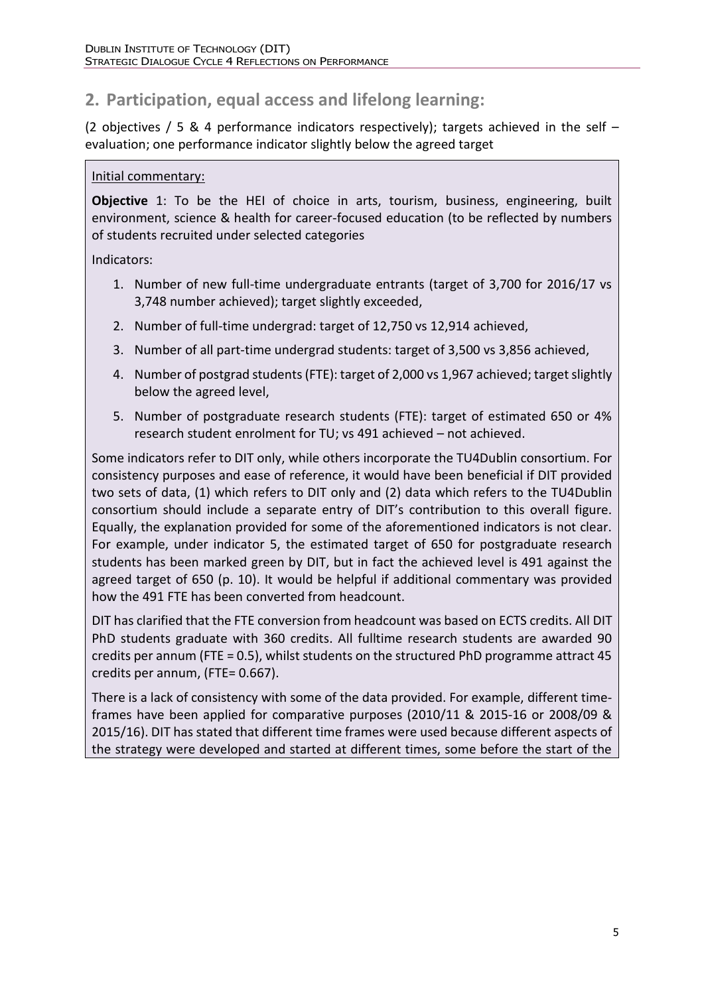# **2. Participation, equal access and lifelong learning:**

(2 objectives / 5 & 4 performance indicators respectively); targets achieved in the self  $$ evaluation; one performance indicator slightly below the agreed target

#### Initial commentary:

**Objective** 1: To be the HEI of choice in arts, tourism, business, engineering, built environment, science & health for career-focused education (to be reflected by numbers of students recruited under selected categories

Indicators:

- 1. Number of new full-time undergraduate entrants (target of 3,700 for 2016/17 vs 3,748 number achieved); target slightly exceeded,
- 2. Number of full-time undergrad: target of 12,750 vs 12,914 achieved,
- 3. Number of all part-time undergrad students: target of 3,500 vs 3,856 achieved,
- 4. Number of postgrad students (FTE): target of 2,000 vs 1,967 achieved; target slightly below the agreed level,
- 5. Number of postgraduate research students (FTE): target of estimated 650 or 4% research student enrolment for TU; vs 491 achieved – not achieved.

Some indicators refer to DIT only, while others incorporate the TU4Dublin consortium. For consistency purposes and ease of reference, it would have been beneficial if DIT provided two sets of data, (1) which refers to DIT only and (2) data which refers to the TU4Dublin consortium should include a separate entry of DIT's contribution to this overall figure. Equally, the explanation provided for some of the aforementioned indicators is not clear. For example, under indicator 5, the estimated target of 650 for postgraduate research students has been marked green by DIT, but in fact the achieved level is 491 against the agreed target of 650 (p. 10). It would be helpful if additional commentary was provided how the 491 FTE has been converted from headcount.

DIT has clarified that the FTE conversion from headcount was based on ECTS credits. All DIT PhD students graduate with 360 credits. All fulltime research students are awarded 90 credits per annum (FTE = 0.5), whilst students on the structured PhD programme attract 45 credits per annum, (FTE= 0.667).

There is a lack of consistency with some of the data provided. For example, different timeframes have been applied for comparative purposes (2010/11 & 2015-16 or 2008/09 & 2015/16). DIT has stated that different time frames were used because different aspects of the strategy were developed and started at different times, some before the start of the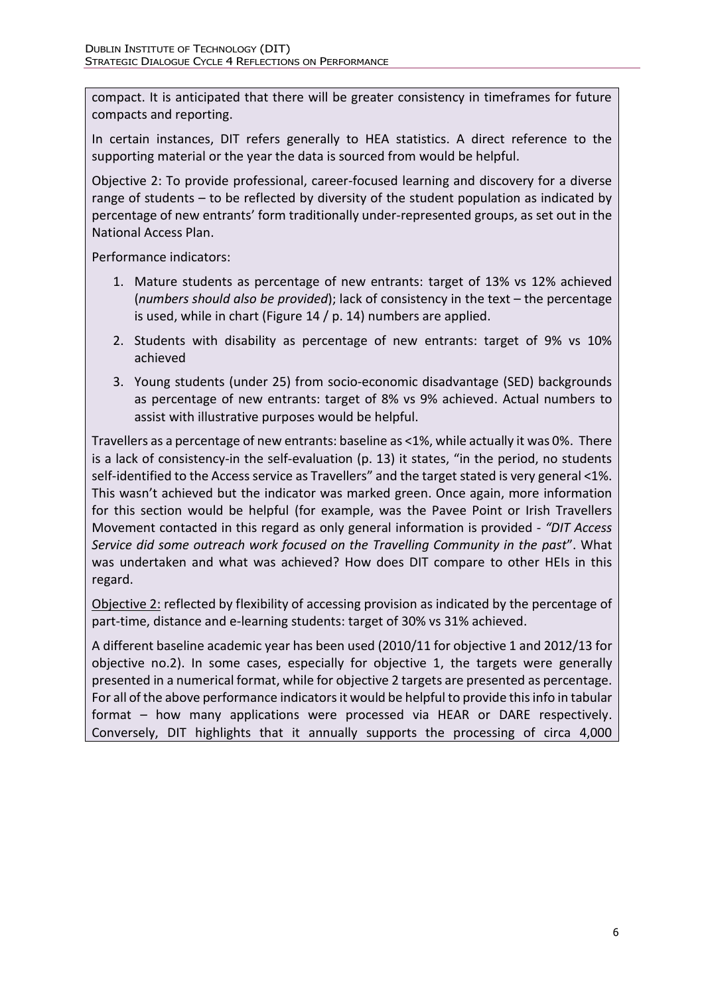compact. It is anticipated that there will be greater consistency in timeframes for future compacts and reporting.

In certain instances, DIT refers generally to HEA statistics. A direct reference to the supporting material or the year the data is sourced from would be helpful.

Objective 2: To provide professional, career-focused learning and discovery for a diverse range of students – to be reflected by diversity of the student population as indicated by percentage of new entrants' form traditionally under-represented groups, as set out in the National Access Plan.

Performance indicators:

- 1. Mature students as percentage of new entrants: target of 13% vs 12% achieved (*numbers should also be provided*); lack of consistency in the text – the percentage is used, while in chart (Figure 14 / p. 14) numbers are applied.
- 2. Students with disability as percentage of new entrants: target of 9% vs 10% achieved
- 3. Young students (under 25) from socio-economic disadvantage (SED) backgrounds as percentage of new entrants: target of 8% vs 9% achieved. Actual numbers to assist with illustrative purposes would be helpful.

4. Travellers as a percentage of new entrants: baseline as <1%, while actually it was 0%. There is a lack of consistency-in the self-evaluation (p. 13) it states, "in the period, no students self-identified to the Access service as Travellers" and the target stated is very general <1%. This wasn't achieved but the indicator was marked green. Once again, more information for this section would be helpful (for example, was the Pavee Point or Irish Travellers Movement contacted in this regard as only general information is provided - *"DIT Access Service did some outreach work focused on the Travelling Community in the past*". What was undertaken and what was achieved? How does DIT compare to other HEIs in this regard.

5. Objective 2: reflected by flexibility of accessing provision as indicated by the percentage of part-time, distance and e-learning students: target of 30% vs 31% achieved.

A different baseline academic year has been used (2010/11 for objective 1 and 2012/13 for objective no.2). In some cases, especially for objective 1, the targets were generally presented in a numerical format, while for objective 2 targets are presented as percentage. For all of the above performance indicators it would be helpful to provide this info in tabular format – how many applications were processed via HEAR or DARE respectively. Conversely, DIT highlights that it annually supports the processing of circa 4,000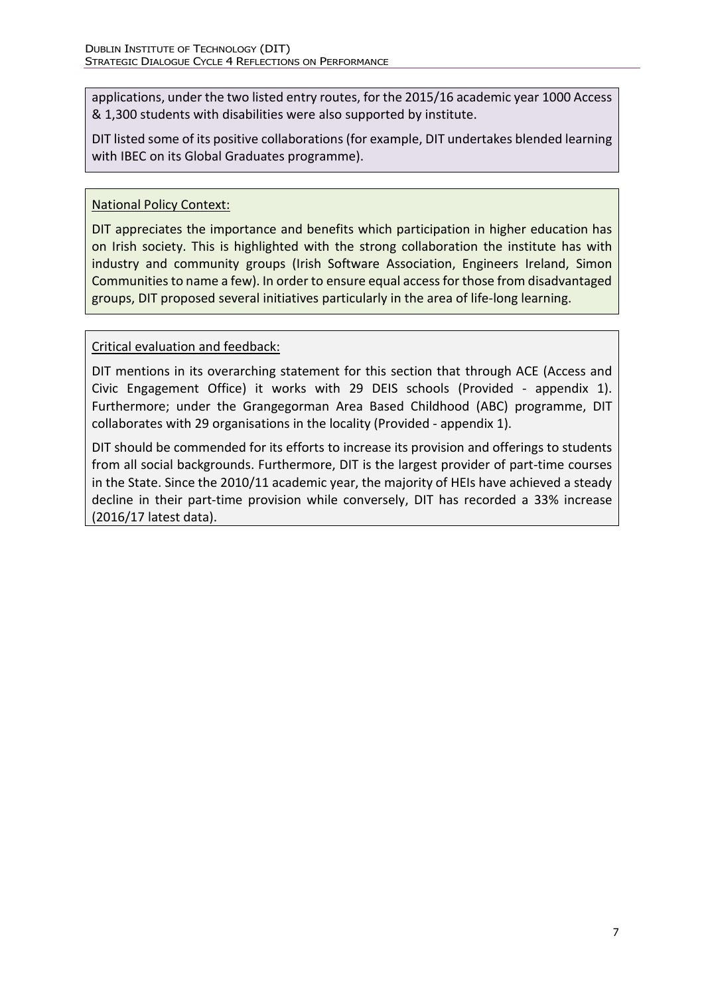applications, under the two listed entry routes, for the 2015/16 academic year 1000 Access & 1,300 students with disabilities were also supported by institute.

DIT listed some of its positive collaborations (for example, DIT undertakes blended learning with IBEC on its Global Graduates programme).

### National Policy Context:

DIT appreciates the importance and benefits which participation in higher education has on Irish society. This is highlighted with the strong collaboration the institute has with industry and community groups (Irish Software Association, Engineers Ireland, Simon Communities to name a few). In order to ensure equal access for those from disadvantaged groups, DIT proposed several initiatives particularly in the area of life-long learning.

### Critical evaluation and feedback:

DIT mentions in its overarching statement for this section that through ACE (Access and Civic Engagement Office) it works with 29 DEIS schools (Provided - appendix 1). Furthermore; under the Grangegorman Area Based Childhood (ABC) programme, DIT collaborates with 29 organisations in the locality (Provided - appendix 1).

DIT should be commended for its efforts to increase its provision and offerings to students from all social backgrounds. Furthermore, DIT is the largest provider of part-time courses in the State. Since the 2010/11 academic year, the majority of HEIs have achieved a steady decline in their part-time provision while conversely, DIT has recorded a 33% increase (2016/17 latest data).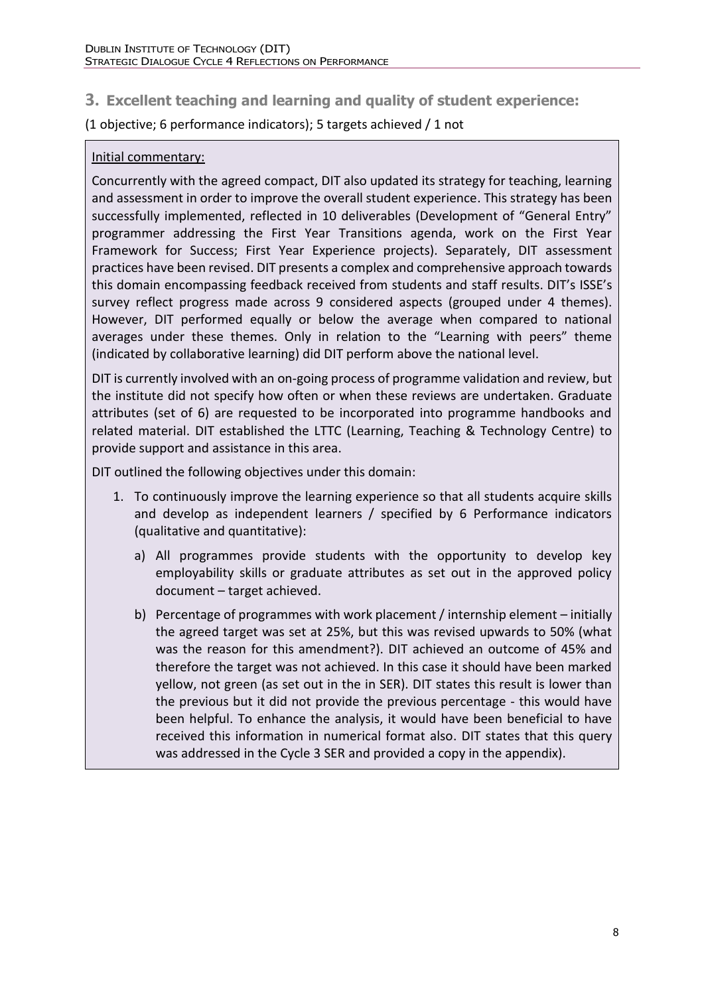## **3. Excellent teaching and learning and quality of student experience:**

(1 objective; 6 performance indicators); 5 targets achieved / 1 not

#### Initial commentary:

Concurrently with the agreed compact, DIT also updated its strategy for teaching, learning and assessment in order to improve the overall student experience. This strategy has been successfully implemented, reflected in 10 deliverables (Development of "General Entry" programmer addressing the First Year Transitions agenda, work on the First Year Framework for Success; First Year Experience projects). Separately, DIT assessment practices have been revised. DIT presents a complex and comprehensive approach towards this domain encompassing feedback received from students and staff results. DIT's ISSE's survey reflect progress made across 9 considered aspects (grouped under 4 themes). However, DIT performed equally or below the average when compared to national averages under these themes. Only in relation to the "Learning with peers" theme (indicated by collaborative learning) did DIT perform above the national level.

DIT is currently involved with an on-going process of programme validation and review, but the institute did not specify how often or when these reviews are undertaken. Graduate attributes (set of 6) are requested to be incorporated into programme handbooks and related material. DIT established the LTTC (Learning, Teaching & Technology Centre) to provide support and assistance in this area.

DIT outlined the following objectives under this domain:

- 1. To continuously improve the learning experience so that all students acquire skills and develop as independent learners / specified by 6 Performance indicators (qualitative and quantitative):
	- a) All programmes provide students with the opportunity to develop key employability skills or graduate attributes as set out in the approved policy document – target achieved.
	- b) Percentage of programmes with work placement / internship element initially the agreed target was set at 25%, but this was revised upwards to 50% (what was the reason for this amendment?). DIT achieved an outcome of 45% and therefore the target was not achieved. In this case it should have been marked yellow, not green (as set out in the in SER). DIT states this result is lower than the previous but it did not provide the previous percentage - this would have been helpful. To enhance the analysis, it would have been beneficial to have received this information in numerical format also. DIT states that this query was addressed in the Cycle 3 SER and provided a copy in the appendix).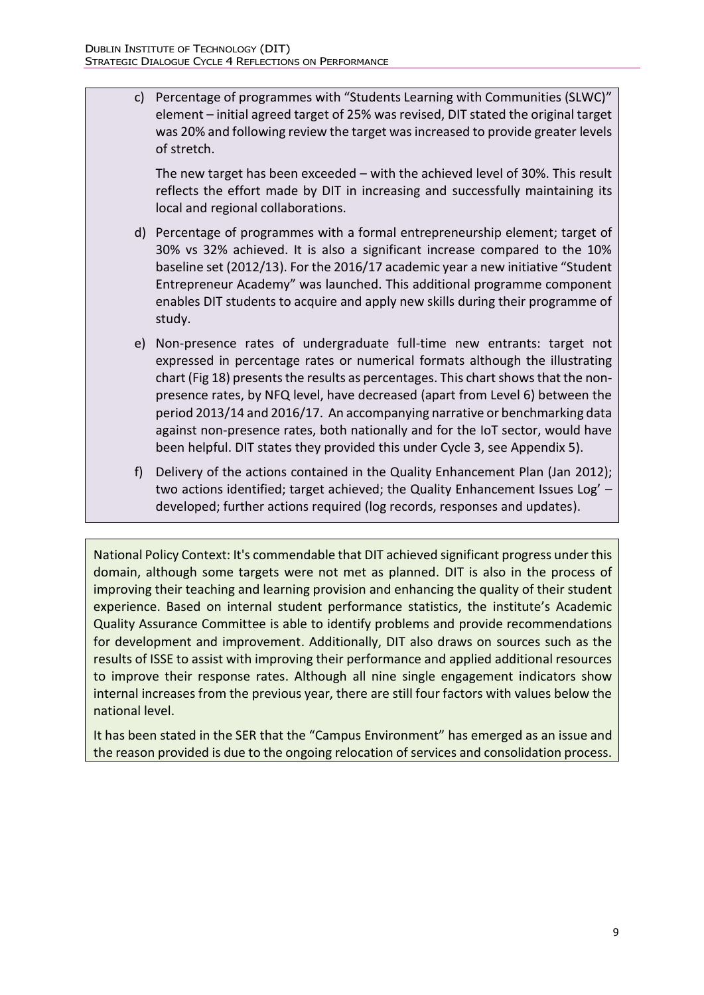c) Percentage of programmes with "Students Learning with Communities (SLWC)" element – initial agreed target of 25% was revised, DIT stated the original target was 20% and following review the target was increased to provide greater levels of stretch.

The new target has been exceeded – with the achieved level of 30%. This result reflects the effort made by DIT in increasing and successfully maintaining its local and regional collaborations.

- d) Percentage of programmes with a formal entrepreneurship element; target of 30% vs 32% achieved. It is also a significant increase compared to the 10% baseline set (2012/13). For the 2016/17 academic year a new initiative "Student Entrepreneur Academy" was launched. This additional programme component enables DIT students to acquire and apply new skills during their programme of study.
- e) Non-presence rates of undergraduate full-time new entrants: target not expressed in percentage rates or numerical formats although the illustrating chart (Fig 18) presents the results as percentages. This chart shows that the nonpresence rates, by NFQ level, have decreased (apart from Level 6) between the period 2013/14 and 2016/17. An accompanying narrative or benchmarking data against non-presence rates, both nationally and for the IoT sector, would have been helpful. DIT states they provided this under Cycle 3, see Appendix 5).
- f) Delivery of the actions contained in the Quality Enhancement Plan (Jan 2012); two actions identified; target achieved; the Quality Enhancement Issues Log' – developed; further actions required (log records, responses and updates).

National Policy Context: It's commendable that DIT achieved significant progress under this domain, although some targets were not met as planned. DIT is also in the process of improving their teaching and learning provision and enhancing the quality of their student experience. Based on internal student performance statistics, the institute's Academic Quality Assurance Committee is able to identify problems and provide recommendations for development and improvement. Additionally, DIT also draws on sources such as the results of ISSE to assist with improving their performance and applied additional resources to improve their response rates. Although all nine single engagement indicators show internal increases from the previous year, there are still four factors with values below the national level.

It has been stated in the SER that the "Campus Environment" has emerged as an issue and the reason provided is due to the ongoing relocation of services and consolidation process.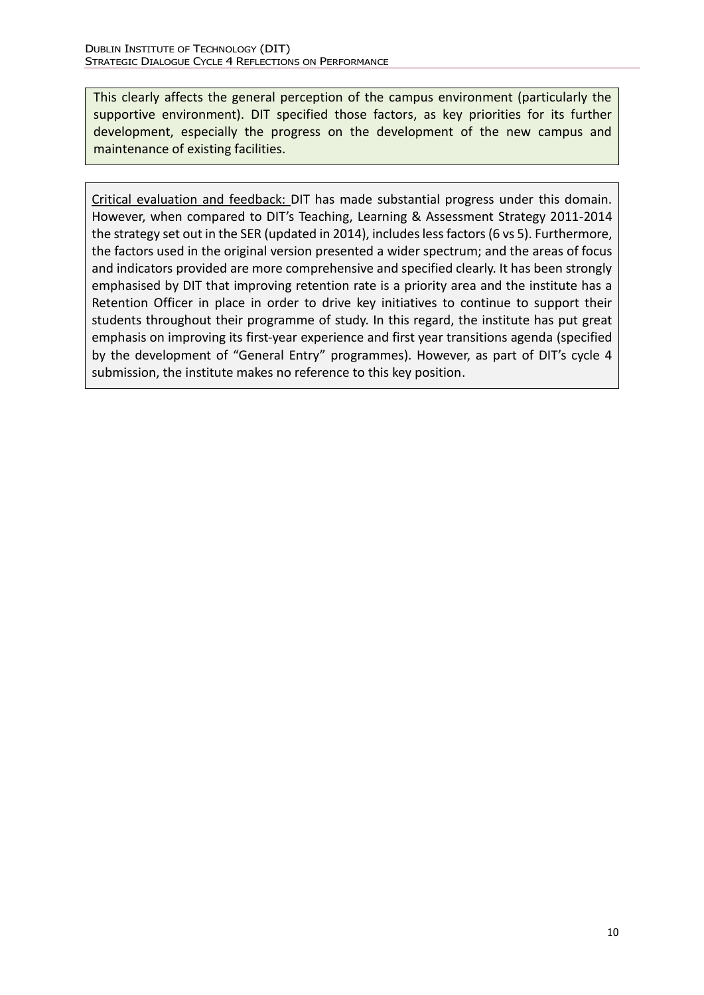This clearly affects the general perception of the campus environment (particularly the supportive environment). DIT specified those factors, as key priorities for its further development, especially the progress on the development of the new campus and maintenance of existing facilities.

Critical evaluation and feedback: DIT has made substantial progress under this domain. However, when compared to DIT's Teaching, Learning & Assessment Strategy 2011-2014 the strategy set out in the SER (updated in 2014), includes less factors (6 vs 5). Furthermore, the factors used in the original version presented a wider spectrum; and the areas of focus and indicators provided are more comprehensive and specified clearly. It has been strongly emphasised by DIT that improving retention rate is a priority area and the institute has a Retention Officer in place in order to drive key initiatives to continue to support their students throughout their programme of study. In this regard, the institute has put great emphasis on improving its first-year experience and first year transitions agenda (specified by the development of "General Entry" programmes). However, as part of DIT's cycle 4 submission, the institute makes no reference to this key position.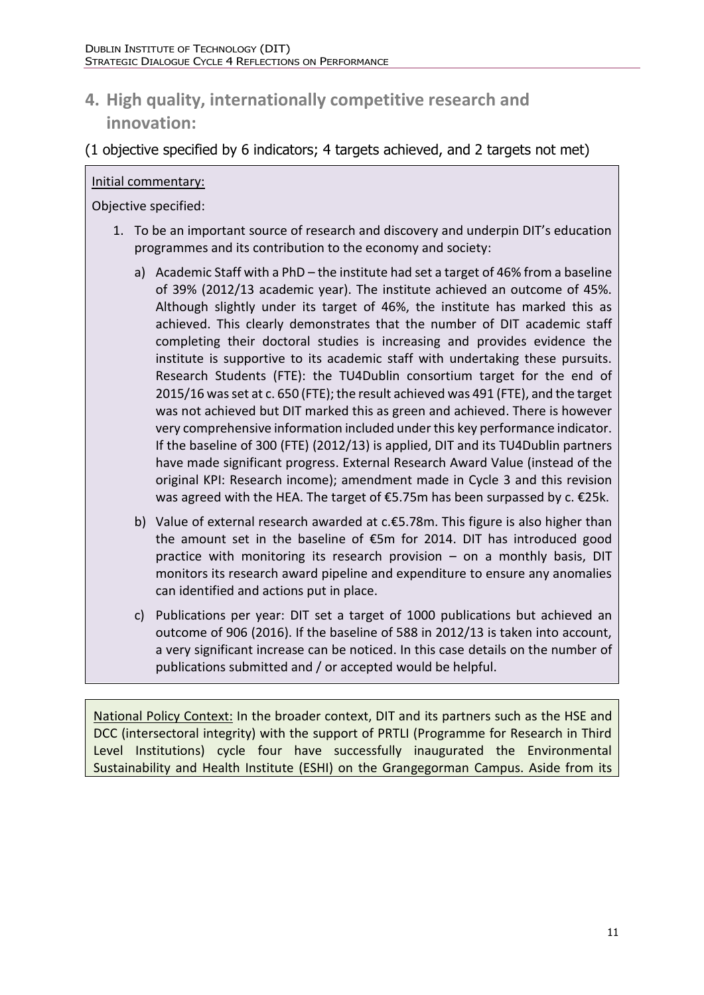# **4. High quality, internationally competitive research and innovation:**

(1 objective specified by 6 indicators; 4 targets achieved, and 2 targets not met)

### Initial commentary:

Objective specified:

- 1. To be an important source of research and discovery and underpin DIT's education programmes and its contribution to the economy and society:
	- a) Academic Staff with a PhD the institute had set a target of 46% from a baseline of 39% (2012/13 academic year). The institute achieved an outcome of 45%. Although slightly under its target of 46%, the institute has marked this as achieved. This clearly demonstrates that the number of DIT academic staff completing their doctoral studies is increasing and provides evidence the institute is supportive to its academic staff with undertaking these pursuits. Research Students (FTE): the TU4Dublin consortium target for the end of 2015/16 was set at c. 650 (FTE); the result achieved was 491 (FTE), and the target was not achieved but DIT marked this as green and achieved. There is however very comprehensive information included under this key performance indicator. If the baseline of 300 (FTE) (2012/13) is applied, DIT and its TU4Dublin partners have made significant progress. External Research Award Value (instead of the original KPI: Research income); amendment made in Cycle 3 and this revision was agreed with the HEA. The target of €5.75m has been surpassed by c. €25k.
	- b) Value of external research awarded at c.€5.78m. This figure is also higher than the amount set in the baseline of €5m for 2014. DIT has introduced good practice with monitoring its research provision – on a monthly basis, DIT monitors its research award pipeline and expenditure to ensure any anomalies can identified and actions put in place.
	- c) Publications per year: DIT set a target of 1000 publications but achieved an outcome of 906 (2016). If the baseline of 588 in 2012/13 is taken into account, a very significant increase can be noticed. In this case details on the number of publications submitted and / or accepted would be helpful.

National Policy Context: In the broader context, DIT and its partners such as the HSE and DCC (intersectoral integrity) with the support of PRTLI (Programme for Research in Third Level Institutions) cycle four have successfully inaugurated the Environmental Sustainability and Health Institute (ESHI) on the Grangegorman Campus. Aside from its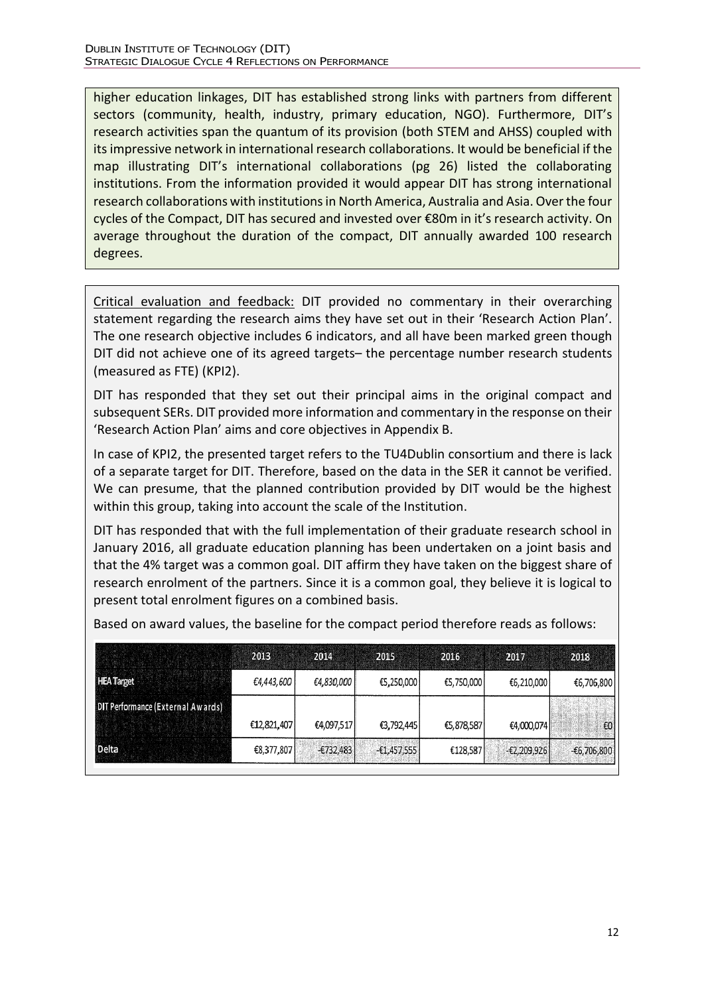higher education linkages, DIT has established strong links with partners from different sectors (community, health, industry, primary education, NGO). Furthermore, DIT's research activities span the quantum of its provision (both STEM and AHSS) coupled with its impressive network in international research collaborations. It would be beneficial if the map illustrating DIT's international collaborations (pg 26) listed the collaborating institutions. From the information provided it would appear DIT has strong international research collaborations with institutions in North America, Australia and Asia. Over the four cycles of the Compact, DIT has secured and invested over €80m in it's research activity. On average throughout the duration of the compact, DIT annually awarded 100 research degrees.

Critical evaluation and feedback: DIT provided no commentary in their overarching statement regarding the research aims they have set out in their 'Research Action Plan'. The one research objective includes 6 indicators, and all have been marked green though DIT did not achieve one of its agreed targets– the percentage number research students (measured as FTE) (KPI2).

DIT has responded that they set out their principal aims in the original compact and subsequent SERs. DIT provided more information and commentary in the response on their 'Research Action Plan' aims and core objectives in Appendix B.

In case of KPI2, the presented target refers to the TU4Dublin consortium and there is lack of a separate target for DIT. Therefore, based on the data in the SER it cannot be verified. We can presume, that the planned contribution provided by DIT would be the highest within this group, taking into account the scale of the Institution.

DIT has responded that with the full implementation of their graduate research school in January 2016, all graduate education planning has been undertaken on a joint basis and that the 4% target was a common goal. DIT affirm they have taken on the biggest share of research enrolment of the partners. Since it is a common goal, they believe it is logical to present total enrolment figures on a combined basis.

|                                   | 2013        | 2014        | 2015          | 2016       | 2017          | 2018         |
|-----------------------------------|-------------|-------------|---------------|------------|---------------|--------------|
| <b>HEA Target</b>                 | €4,443,600  | €4,830,000  | €5,250,000    | €5,750,000 | €6,210,000    | €6,706,800   |
| DIT Performance (External Awards) | €12,821,407 | €4,097,517  | €3,792,445    | €5,878,587 | €4,000,074    | $\epsilon$ 0 |
| <b>Delta</b>                      | €8,377,807  | $-£732.483$ | $-£1,457,555$ | €128,587   | $-£2,209,926$ | $-6,706,800$ |

Based on award values, the baseline for the compact period therefore reads as follows: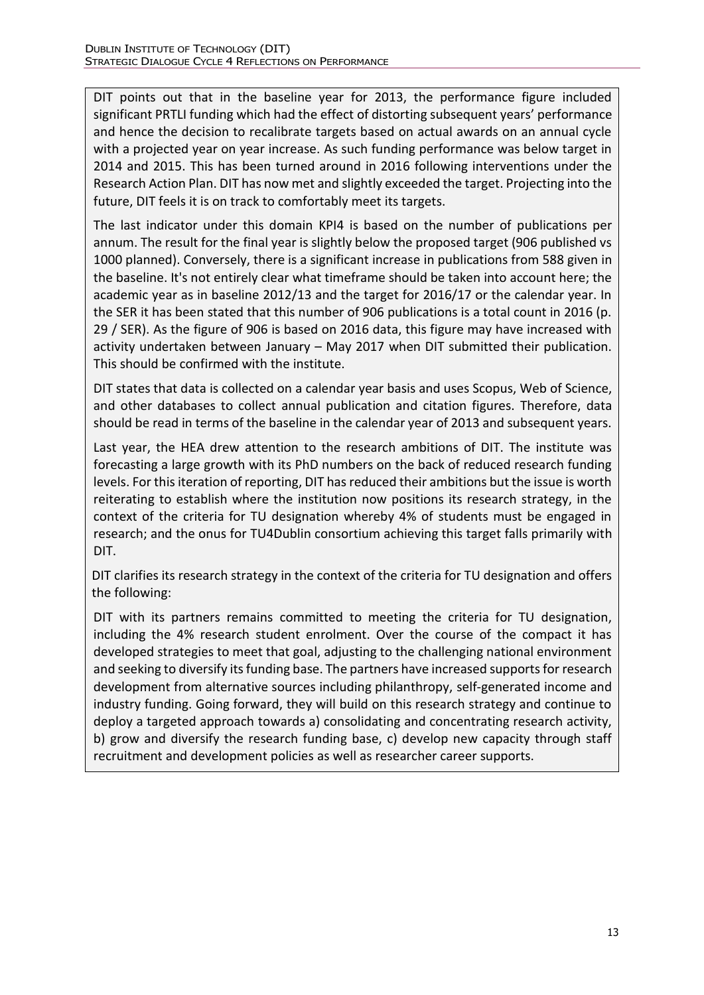DIT points out that in the baseline year for 2013, the performance figure included significant PRTLI funding which had the effect of distorting subsequent years' performance and hence the decision to recalibrate targets based on actual awards on an annual cycle with a projected year on year increase. As such funding performance was below target in 2014 and 2015. This has been turned around in 2016 following interventions under the Research Action Plan. DIT has now met and slightly exceeded the target. Projecting into the future, DIT feels it is on track to comfortably meet its targets.

The last indicator under this domain KPI4 is based on the number of publications per annum. The result for the final year is slightly below the proposed target (906 published vs 1000 planned). Conversely, there is a significant increase in publications from 588 given in the baseline. It's not entirely clear what timeframe should be taken into account here; the academic year as in baseline 2012/13 and the target for 2016/17 or the calendar year. In the SER it has been stated that this number of 906 publications is a total count in 2016 (p. 29 / SER). As the figure of 906 is based on 2016 data, this figure may have increased with activity undertaken between January – May 2017 when DIT submitted their publication. This should be confirmed with the institute.

DIT states that data is collected on a calendar year basis and uses Scopus, Web of Science, and other databases to collect annual publication and citation figures. Therefore, data should be read in terms of the baseline in the calendar year of 2013 and subsequent years.

Last year, the HEA drew attention to the research ambitions of DIT. The institute was forecasting a large growth with its PhD numbers on the back of reduced research funding levels. For this iteration of reporting, DIT has reduced their ambitions but the issue is worth reiterating to establish where the institution now positions its research strategy, in the context of the criteria for TU designation whereby 4% of students must be engaged in research; and the onus for TU4Dublin consortium achieving this target falls primarily with DIT.

DIT clarifies its research strategy in the context of the criteria for TU designation and offers the following:

DIT with its partners remains committed to meeting the criteria for TU designation, including the 4% research student enrolment. Over the course of the compact it has developed strategies to meet that goal, adjusting to the challenging national environment and seeking to diversify its funding base. The partners have increased supports for research development from alternative sources including philanthropy, self-generated income and industry funding. Going forward, they will build on this research strategy and continue to deploy a targeted approach towards a) consolidating and concentrating research activity, b) grow and diversify the research funding base, c) develop new capacity through staff recruitment and development policies as well as researcher career supports.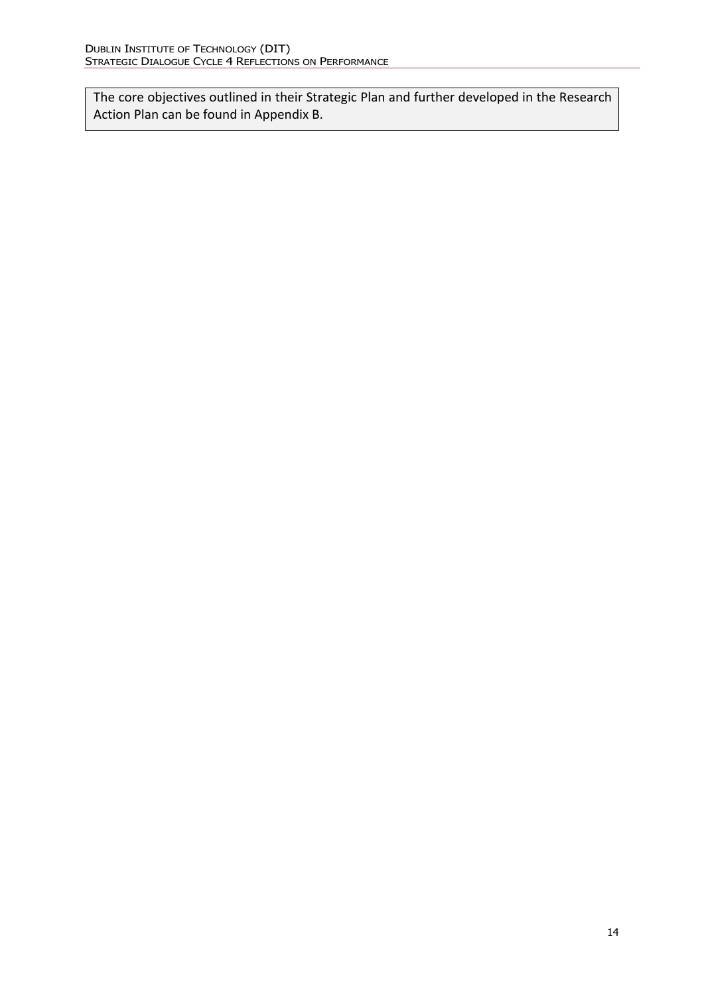The core objectives outlined in their Strategic Plan and further developed in the Research Action Plan can be found in Appendix B.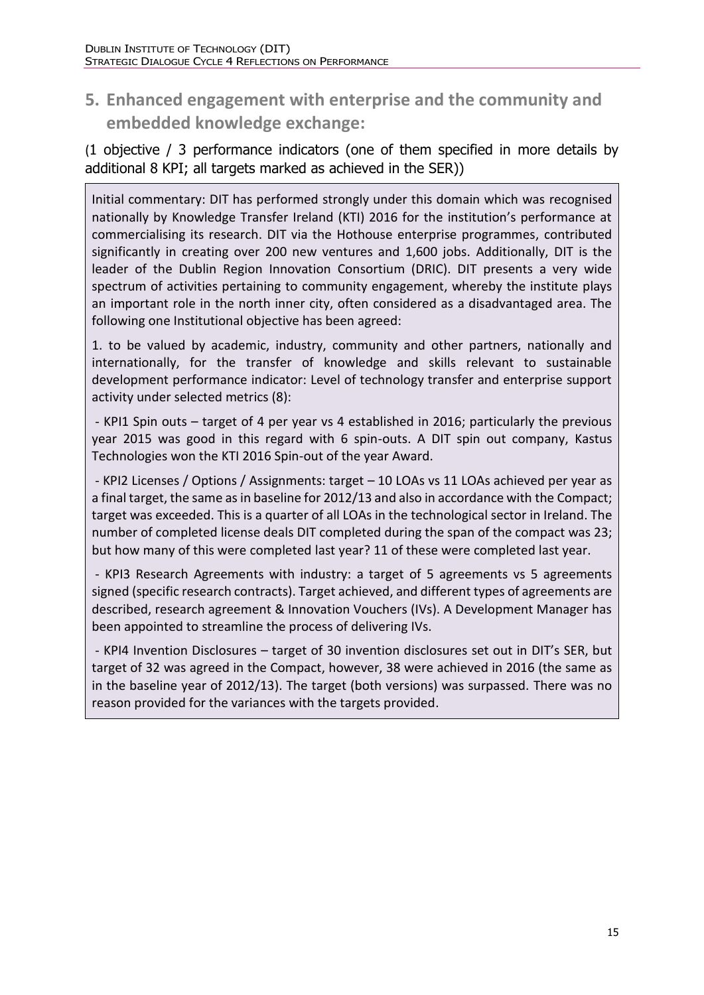# **5. Enhanced engagement with enterprise and the community and embedded knowledge exchange:**

(1 objective / 3 performance indicators (one of them specified in more details by additional 8 KPI; all targets marked as achieved in the SER))

Initial commentary: DIT has performed strongly under this domain which was recognised nationally by Knowledge Transfer Ireland (KTI) 2016 for the institution's performance at commercialising its research. DIT via the Hothouse enterprise programmes, contributed significantly in creating over 200 new ventures and 1,600 jobs. Additionally, DIT is the leader of the Dublin Region Innovation Consortium (DRIC). DIT presents a very wide spectrum of activities pertaining to community engagement, whereby the institute plays an important role in the north inner city, often considered as a disadvantaged area. The following one Institutional objective has been agreed:

1. to be valued by academic, industry, community and other partners, nationally and internationally, for the transfer of knowledge and skills relevant to sustainable development performance indicator: Level of technology transfer and enterprise support activity under selected metrics (8):

- KPI1 Spin outs – target of 4 per year vs 4 established in 2016; particularly the previous year 2015 was good in this regard with 6 spin-outs. A DIT spin out company, Kastus Technologies won the KTI 2016 Spin-out of the year Award.

- KPI2 Licenses / Options / Assignments: target – 10 LOAs vs 11 LOAs achieved per year as a final target, the same as in baseline for 2012/13 and also in accordance with the Compact; target was exceeded. This is a quarter of all LOAs in the technological sector in Ireland. The number of completed license deals DIT completed during the span of the compact was 23; but how many of this were completed last year? 11 of these were completed last year.

- KPI3 Research Agreements with industry: a target of 5 agreements vs 5 agreements signed (specific research contracts). Target achieved, and different types of agreements are described, research agreement & Innovation Vouchers (IVs). A Development Manager has been appointed to streamline the process of delivering IVs.

- KPI4 Invention Disclosures – target of 30 invention disclosures set out in DIT's SER, but target of 32 was agreed in the Compact, however, 38 were achieved in 2016 (the same as in the baseline year of 2012/13). The target (both versions) was surpassed. There was no reason provided for the variances with the targets provided.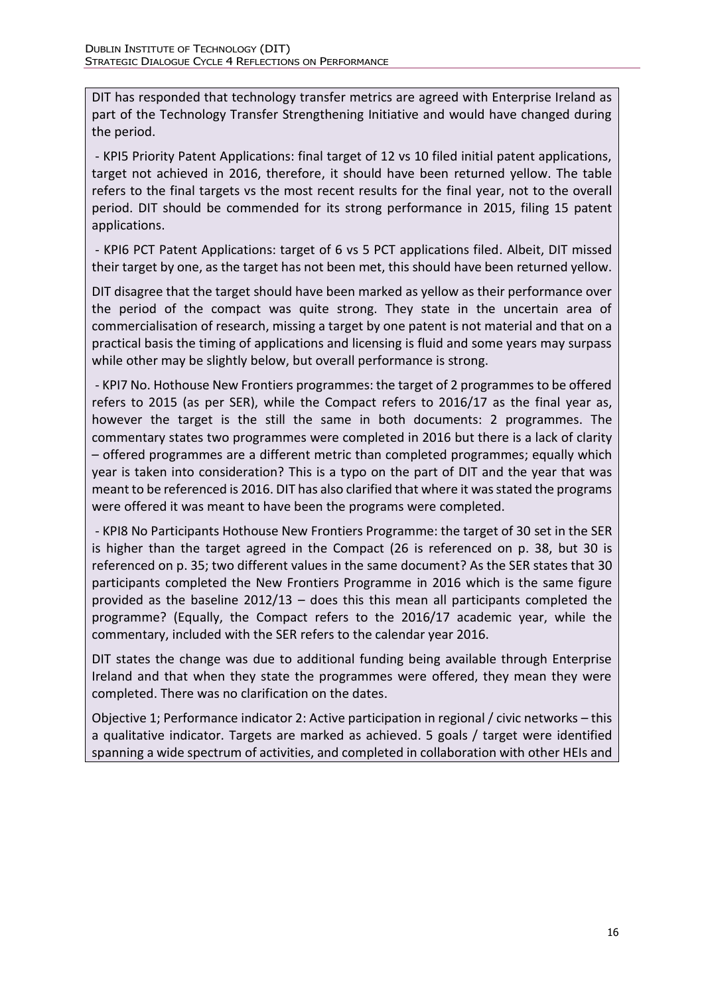DIT has responded that technology transfer metrics are agreed with Enterprise Ireland as part of the Technology Transfer Strengthening Initiative and would have changed during the period.

- KPI5 Priority Patent Applications: final target of 12 vs 10 filed initial patent applications, target not achieved in 2016, therefore, it should have been returned yellow. The table refers to the final targets vs the most recent results for the final year, not to the overall period. DIT should be commended for its strong performance in 2015, filing 15 patent applications.

- KPI6 PCT Patent Applications: target of 6 vs 5 PCT applications filed. Albeit, DIT missed their target by one, as the target has not been met, this should have been returned yellow.

DIT disagree that the target should have been marked as yellow as their performance over the period of the compact was quite strong. They state in the uncertain area of commercialisation of research, missing a target by one patent is not material and that on a practical basis the timing of applications and licensing is fluid and some years may surpass while other may be slightly below, but overall performance is strong.

- KPI7 No. Hothouse New Frontiers programmes: the target of 2 programmes to be offered refers to 2015 (as per SER), while the Compact refers to 2016/17 as the final year as, however the target is the still the same in both documents: 2 programmes. The commentary states two programmes were completed in 2016 but there is a lack of clarity – offered programmes are a different metric than completed programmes; equally which year is taken into consideration? This is a typo on the part of DIT and the year that was meant to be referenced is 2016. DIT has also clarified that where it was stated the programs were offered it was meant to have been the programs were completed.

- KPI8 No Participants Hothouse New Frontiers Programme: the target of 30 set in the SER is higher than the target agreed in the Compact (26 is referenced on p. 38, but 30 is referenced on p. 35; two different values in the same document? As the SER states that 30 participants completed the New Frontiers Programme in 2016 which is the same figure provided as the baseline 2012/13 – does this this mean all participants completed the programme? (Equally, the Compact refers to the 2016/17 academic year, while the commentary, included with the SER refers to the calendar year 2016.

DIT states the change was due to additional funding being available through Enterprise Ireland and that when they state the programmes were offered, they mean they were completed. There was no clarification on the dates.

Objective 1; Performance indicator 2: Active participation in regional / civic networks – this a qualitative indicator. Targets are marked as achieved. 5 goals / target were identified spanning a wide spectrum of activities, and completed in collaboration with other HEIs and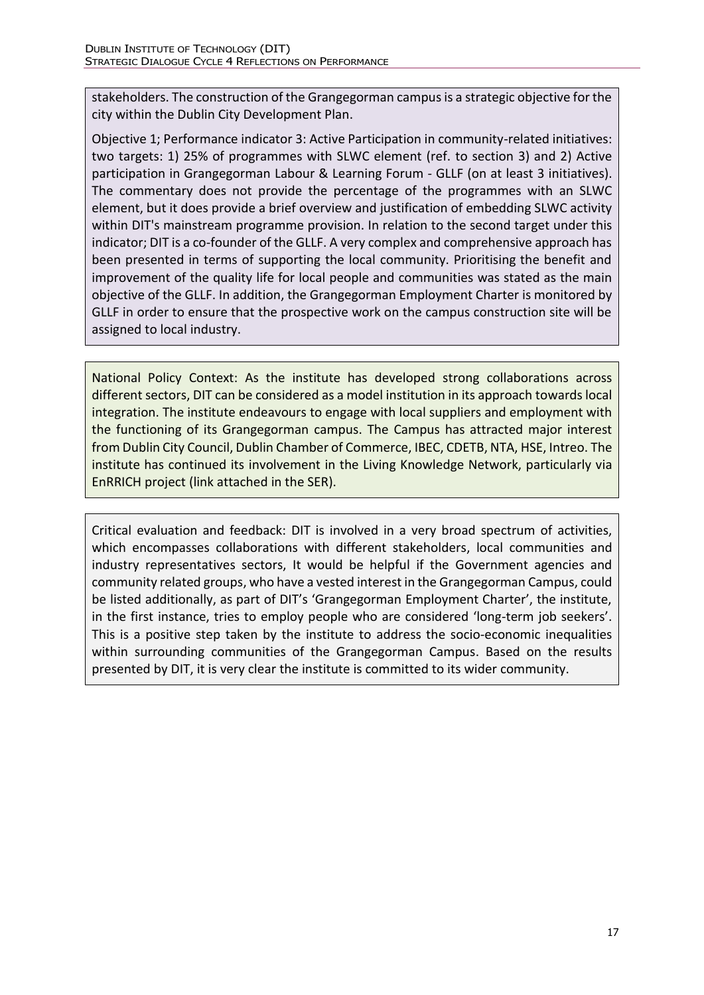stakeholders. The construction of the Grangegorman campus is a strategic objective for the city within the Dublin City Development Plan.

Objective 1; Performance indicator 3: Active Participation in community-related initiatives: two targets: 1) 25% of programmes with SLWC element (ref. to section 3) and 2) Active participation in Grangegorman Labour & Learning Forum - GLLF (on at least 3 initiatives). The commentary does not provide the percentage of the programmes with an SLWC element, but it does provide a brief overview and justification of embedding SLWC activity within DIT's mainstream programme provision. In relation to the second target under this indicator; DIT is a co-founder of the GLLF. A very complex and comprehensive approach has been presented in terms of supporting the local community. Prioritising the benefit and improvement of the quality life for local people and communities was stated as the main objective of the GLLF. In addition, the Grangegorman Employment Charter is monitored by GLLF in order to ensure that the prospective work on the campus construction site will be assigned to local industry.

National Policy Context: As the institute has developed strong collaborations across different sectors, DIT can be considered as a model institution in its approach towards local integration. The institute endeavours to engage with local suppliers and employment with the functioning of its Grangegorman campus. The Campus has attracted major interest from Dublin City Council, Dublin Chamber of Commerce, IBEC, CDETB, NTA, HSE, Intreo. The institute has continued its involvement in the Living Knowledge Network, particularly via EnRRICH project (link attached in the SER).

Critical evaluation and feedback: DIT is involved in a very broad spectrum of activities, which encompasses collaborations with different stakeholders, local communities and industry representatives sectors, It would be helpful if the Government agencies and community related groups, who have a vested interest in the Grangegorman Campus, could be listed additionally, as part of DIT's 'Grangegorman Employment Charter', the institute, in the first instance, tries to employ people who are considered 'long-term job seekers'. This is a positive step taken by the institute to address the socio-economic inequalities within surrounding communities of the Grangegorman Campus. Based on the results presented by DIT, it is very clear the institute is committed to its wider community.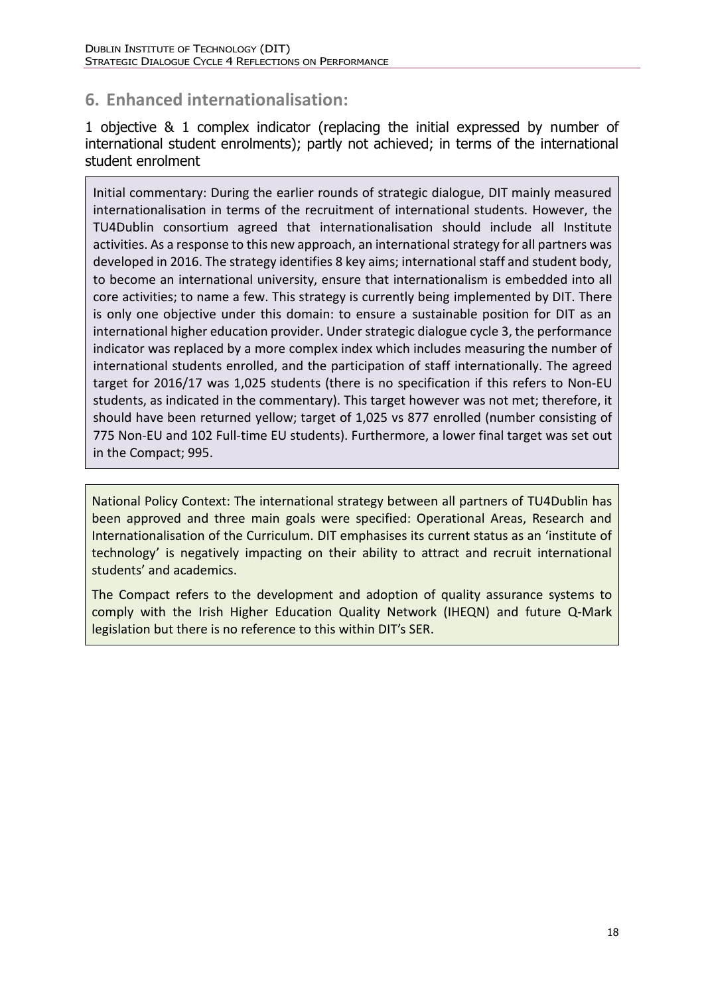# **6. Enhanced internationalisation:**

1 objective & 1 complex indicator (replacing the initial expressed by number of international student enrolments); partly not achieved; in terms of the international student enrolment

Initial commentary: During the earlier rounds of strategic dialogue, DIT mainly measured internationalisation in terms of the recruitment of international students. However, the TU4Dublin consortium agreed that internationalisation should include all Institute activities. As a response to this new approach, an international strategy for all partners was developed in 2016. The strategy identifies 8 key aims; international staff and student body, to become an international university, ensure that internationalism is embedded into all core activities; to name a few. This strategy is currently being implemented by DIT. There is only one objective under this domain: to ensure a sustainable position for DIT as an international higher education provider. Under strategic dialogue cycle 3, the performance indicator was replaced by a more complex index which includes measuring the number of international students enrolled, and the participation of staff internationally. The agreed target for 2016/17 was 1,025 students (there is no specification if this refers to Non-EU students, as indicated in the commentary). This target however was not met; therefore, it should have been returned yellow; target of 1,025 vs 877 enrolled (number consisting of 775 Non-EU and 102 Full-time EU students). Furthermore, a lower final target was set out in the Compact; 995.

National Policy Context: The international strategy between all partners of TU4Dublin has been approved and three main goals were specified: Operational Areas, Research and Internationalisation of the Curriculum. DIT emphasises its current status as an 'institute of technology' is negatively impacting on their ability to attract and recruit international students' and academics.

The Compact refers to the development and adoption of quality assurance systems to comply with the Irish Higher Education Quality Network (IHEQN) and future Q-Mark legislation but there is no reference to this within DIT's SER.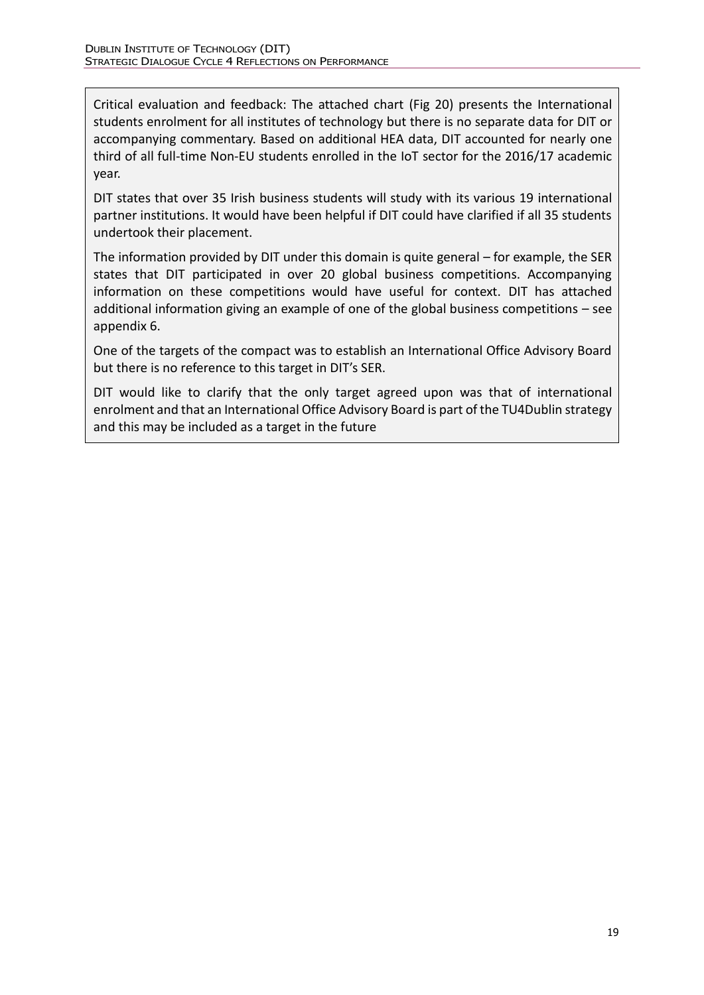Critical evaluation and feedback: The attached chart (Fig 20) presents the International students enrolment for all institutes of technology but there is no separate data for DIT or accompanying commentary. Based on additional HEA data, DIT accounted for nearly one third of all full-time Non-EU students enrolled in the IoT sector for the 2016/17 academic year.

DIT states that over 35 Irish business students will study with its various 19 international partner institutions. It would have been helpful if DIT could have clarified if all 35 students undertook their placement.

The information provided by DIT under this domain is quite general – for example, the SER states that DIT participated in over 20 global business competitions. Accompanying information on these competitions would have useful for context. DIT has attached additional information giving an example of one of the global business competitions – see appendix 6.

One of the targets of the compact was to establish an International Office Advisory Board but there is no reference to this target in DIT's SER.

DIT would like to clarify that the only target agreed upon was that of international enrolment and that an International Office Advisory Board is part of the TU4Dublin strategy and this may be included as a target in the future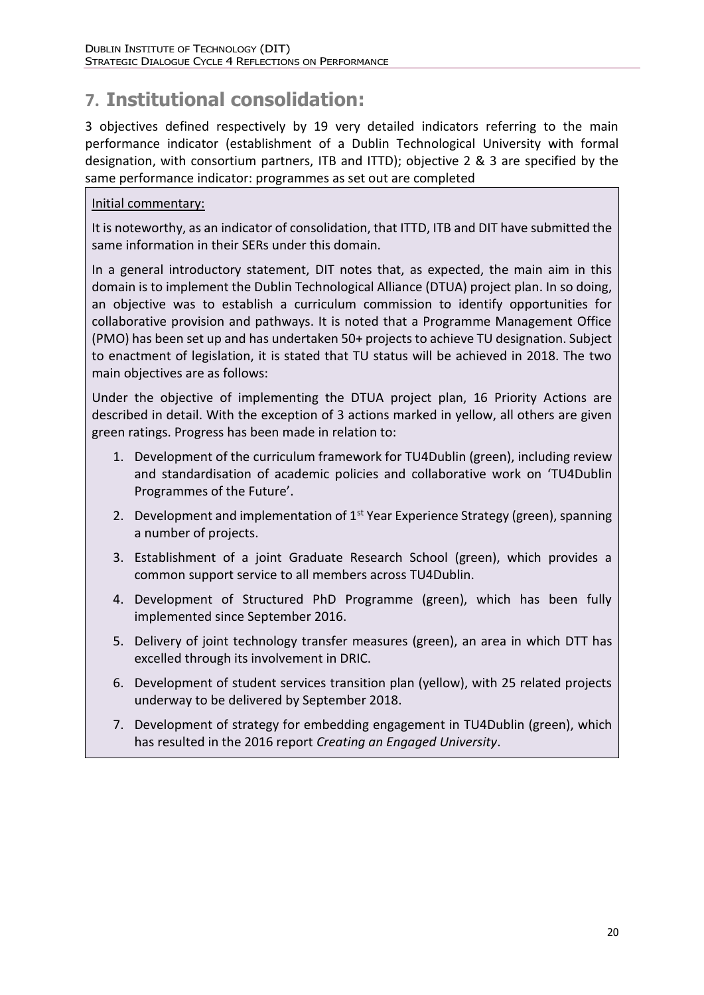# **7. Institutional consolidation:**

3 objectives defined respectively by 19 very detailed indicators referring to the main performance indicator (establishment of a Dublin Technological University with formal designation, with consortium partners, ITB and ITTD); objective 2 & 3 are specified by the same performance indicator: programmes as set out are completed

### Initial commentary:

It is noteworthy, as an indicator of consolidation, that ITTD, ITB and DIT have submitted the same information in their SERs under this domain.

In a general introductory statement, DIT notes that, as expected, the main aim in this domain is to implement the Dublin Technological Alliance (DTUA) project plan. In so doing, an objective was to establish a curriculum commission to identify opportunities for collaborative provision and pathways. It is noted that a Programme Management Office (PMO) has been set up and has undertaken 50+ projects to achieve TU designation. Subject to enactment of legislation, it is stated that TU status will be achieved in 2018. The two main objectives are as follows:

Under the objective of implementing the DTUA project plan, 16 Priority Actions are described in detail. With the exception of 3 actions marked in yellow, all others are given green ratings. Progress has been made in relation to:

- 1. Development of the curriculum framework for TU4Dublin (green), including review and standardisation of academic policies and collaborative work on 'TU4Dublin Programmes of the Future'.
- 2. Development and implementation of 1<sup>st</sup> Year Experience Strategy (green), spanning a number of projects.
- 3. Establishment of a joint Graduate Research School (green), which provides a common support service to all members across TU4Dublin.
- 4. Development of Structured PhD Programme (green), which has been fully implemented since September 2016.
- 5. Delivery of joint technology transfer measures (green), an area in which DTT has excelled through its involvement in DRIC.
- 6. Development of student services transition plan (yellow), with 25 related projects underway to be delivered by September 2018.
- 7. Development of strategy for embedding engagement in TU4Dublin (green), which has resulted in the 2016 report *Creating an Engaged University*.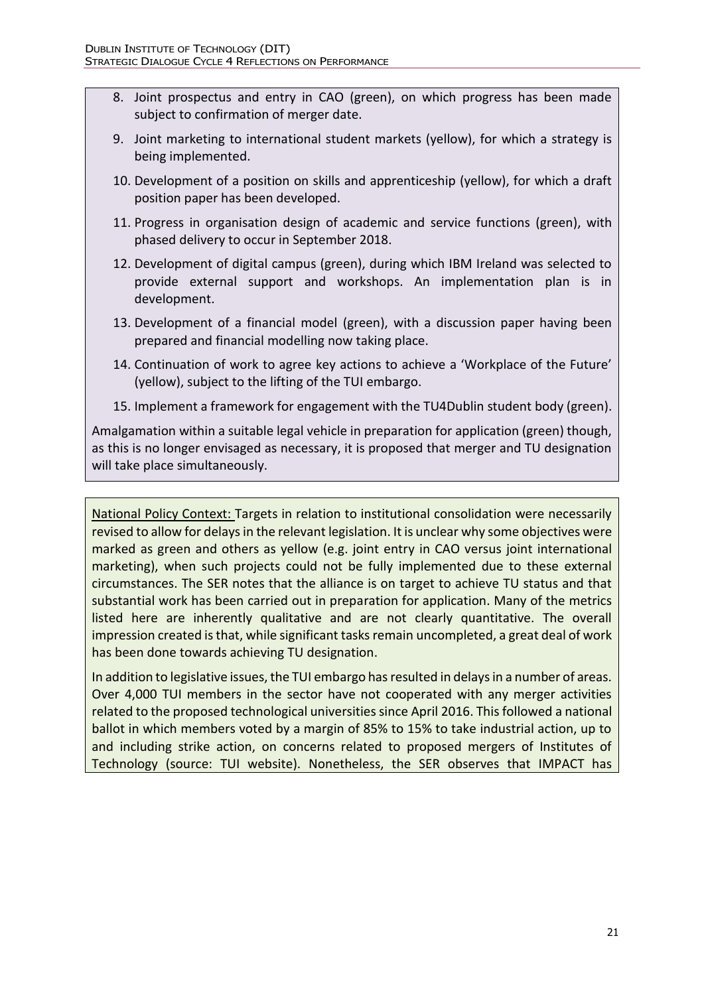- 8. Joint prospectus and entry in CAO (green), on which progress has been made subject to confirmation of merger date.
- 9. Joint marketing to international student markets (yellow), for which a strategy is being implemented.
- 10. Development of a position on skills and apprenticeship (yellow), for which a draft position paper has been developed.
- 11. Progress in organisation design of academic and service functions (green), with phased delivery to occur in September 2018.
- 12. Development of digital campus (green), during which IBM Ireland was selected to provide external support and workshops. An implementation plan is in development.
- 13. Development of a financial model (green), with a discussion paper having been prepared and financial modelling now taking place.
- 14. Continuation of work to agree key actions to achieve a 'Workplace of the Future' (yellow), subject to the lifting of the TUI embargo.
- 15. Implement a framework for engagement with the TU4Dublin student body (green).

Amalgamation within a suitable legal vehicle in preparation for application (green) though, as this is no longer envisaged as necessary, it is proposed that merger and TU designation will take place simultaneously.

National Policy Context: Targets in relation to institutional consolidation were necessarily revised to allow for delays in the relevant legislation. It is unclear why some objectives were marked as green and others as yellow (e.g. joint entry in CAO versus joint international marketing), when such projects could not be fully implemented due to these external circumstances. The SER notes that the alliance is on target to achieve TU status and that substantial work has been carried out in preparation for application. Many of the metrics listed here are inherently qualitative and are not clearly quantitative. The overall impression created is that, while significant tasks remain uncompleted, a great deal of work has been done towards achieving TU designation.

In addition to legislative issues, the TUI embargo has resulted in delays in a number of areas. Over 4,000 TUI members in the sector have not cooperated with any merger activities related to the proposed technological universities since April 2016. This followed a national ballot in which members voted by a margin of 85% to 15% to take industrial action, up to and including strike action, on concerns related to proposed mergers of Institutes of Technology (source: [TUI website\)](http://www.tui.ie/news-events/concerns-of-academic-staff-over-institute-of-technology-mergers-must-be-addressed-.9888.html). Nonetheless, the SER observes that IMPACT has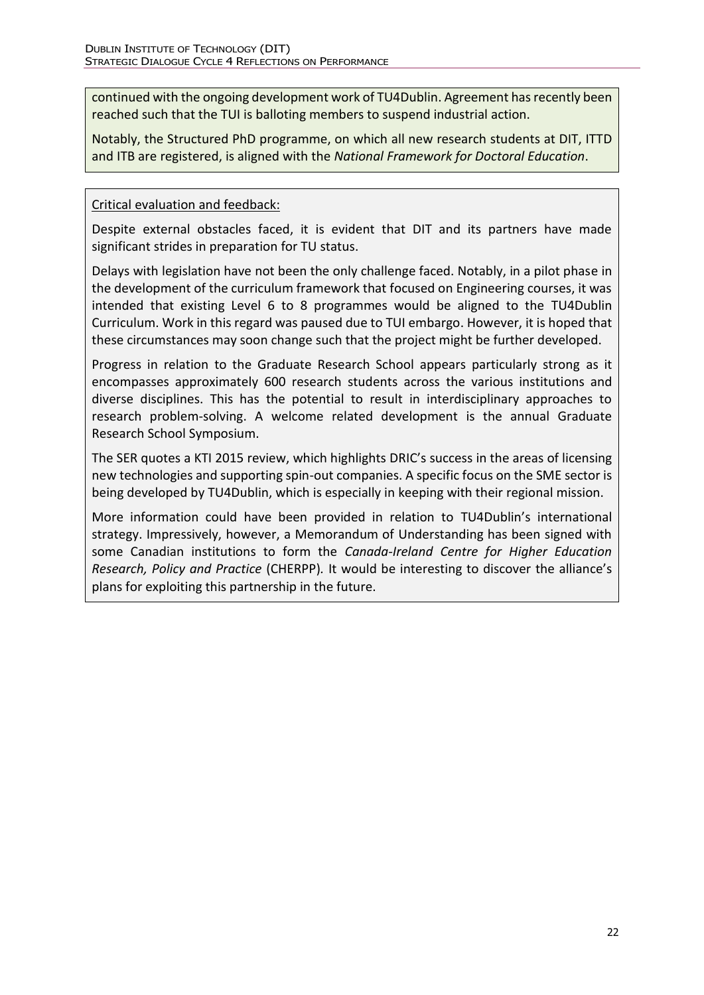continued with the ongoing development work of TU4Dublin. Agreement has recently been reached such that the TUI is balloting members to suspend industrial action.

Notably, the Structured PhD programme, on which all new research students at DIT, ITTD and ITB are registered, is aligned with the *National Framework for Doctoral Education*.

### Critical evaluation and feedback:

Despite external obstacles faced, it is evident that DIT and its partners have made significant strides in preparation for TU status.

Delays with legislation have not been the only challenge faced. Notably, in a pilot phase in the development of the curriculum framework that focused on Engineering courses, it was intended that existing Level 6 to 8 programmes would be aligned to the TU4Dublin Curriculum. Work in this regard was paused due to TUI embargo. However, it is hoped that these circumstances may soon change such that the project might be further developed.

Progress in relation to the Graduate Research School appears particularly strong as it encompasses approximately 600 research students across the various institutions and diverse disciplines. This has the potential to result in interdisciplinary approaches to research problem-solving. A welcome related development is the annual Graduate Research School Symposium.

The SER quotes a KTI 2015 review, which highlights DRIC's success in the areas of licensing new technologies and supporting spin-out companies. A specific focus on the SME sector is being developed by TU4Dublin, which is especially in keeping with their regional mission.

More information could have been provided in relation to TU4Dublin's international strategy. Impressively, however, a Memorandum of Understanding has been signed with some Canadian institutions to form the *Canada-Ireland Centre for Higher Education Research, Policy and Practice* (CHERPP)*.* It would be interesting to discover the alliance's plans for exploiting this partnership in the future.